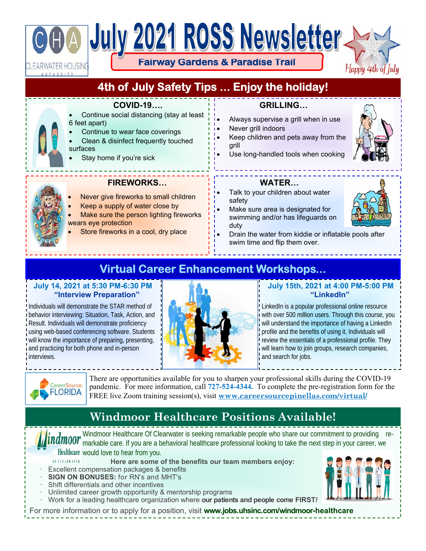# July 2021 ROSS Newsletter.

WATER HOUSING! UTHORITY

**Fairway Gardens & Paradise Trail** 

Happy 4th of

# **4th of July Safety Tips ... Enjoy the holiday!**

#### **COVID-19….**

- Continue social distancing (stay at least 6 feet apart)
- Continue to wear face coverings
- Clean & disinfect frequently touched surfaces
- Stay home if you're sick

## **GRILLING…**

- Always supervise a grill when in use
- Never grill indoors
- Keep children and pets away from the grill
- Use long-handled tools when cooking





### **FIREWORKS…**

- Never give fireworks to small children
- Keep a supply of water close by
- Make sure the person lighting fireworks wears eye protection
- Store fireworks in a cool, dry place

#### **WATER…**

- Talk to your children about water safety
- Make sure area is designated for swimming and/or has lifeguards on duty



 Drain the water from kiddie or inflatable pools after swim time and flip them over.

# **Virtual Career Enhancement Workshops...**

#### **July 14, 2021 at 5:30 PM-6:30 PM "Interview Preparation"**

Individuals will demonstrate the STAR method of behavior interviewing: Situation, Task, Action, and Result. Individuals will demonstrate proficiency using web-based conferencing software. Students will know the importance of preparing, presenting, and practicing for both phone and in-person interviews.



#### **July 15th, 2021 at 4:00 PM-5:00 PM "LinkedIn"**

LinkedIn is a popular professional online resource with over 500 million users. Through this course, you will understand the importance of having a LinkedIn profile and the benefits of using it. Individuals will review the essentials of a professional profile. They will learn how to join groups, research companies, and search for jobs.



There are opportunities available for you to sharpen your professional skills during the COVID-19 pandemic. For more information, call **727-524-4344.** To complete the pre-registration form for the FREE live Zoom training session(s), visit **www.careersourcepinellas.com/virtual/**

# **Windmoor Healthcare Positions Available!**

Windmoor Healthcare Of Clearwater is seeking remarkable people who share our commitment to providing remarkable care. If you are a behavioral healthcare professional looking to take the next step in your career, we Healthcare would love to hear from you.

- OF CLEARWATER **Here are some of the benefits our team members enjoy:**
- Excellent compensation packages & benefits
- · **SIGN ON BONUSES:** for RN's and MHT's
- Shift differentials and other incentives
- Unlimited career growth opportunity & mentorship programs
- · Work for a leading healthcare organization where **our patients and people come FIRST***!*

For more information or to apply for a position, visit **www.jobs.uhsinc.com/windmoor-healthcare**